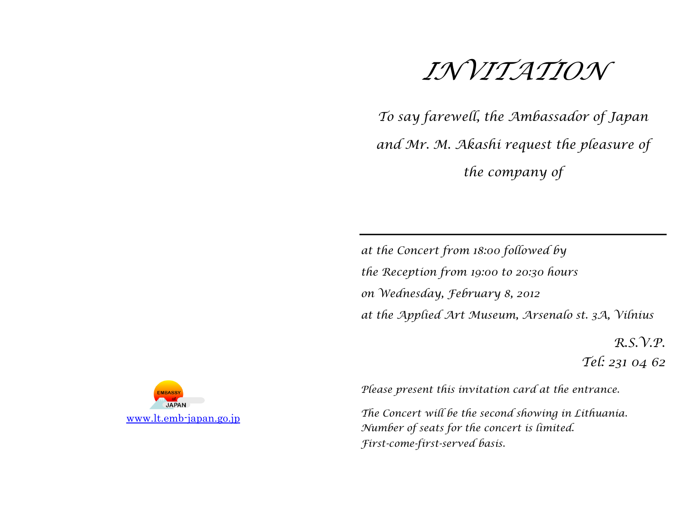

*To say farewell, the Ambassador of Japan and Mr. M. Akashi request the pleasure of the company of*

*at the Concert from 18:00 followed by the Reception from 19:00 to 20:30 hours on Wednesday, February 8, 2012 at the Applied Art Museum, Arsenalo st. 3A, Vilnius*

> *R.S.V.P. Tel: 231 04 62*



*Please present this invitation card at the entrance.*

*The Concert will be the second showing in Lithuania. Number of seats for the concert is limited. First-come-first-served basis.*